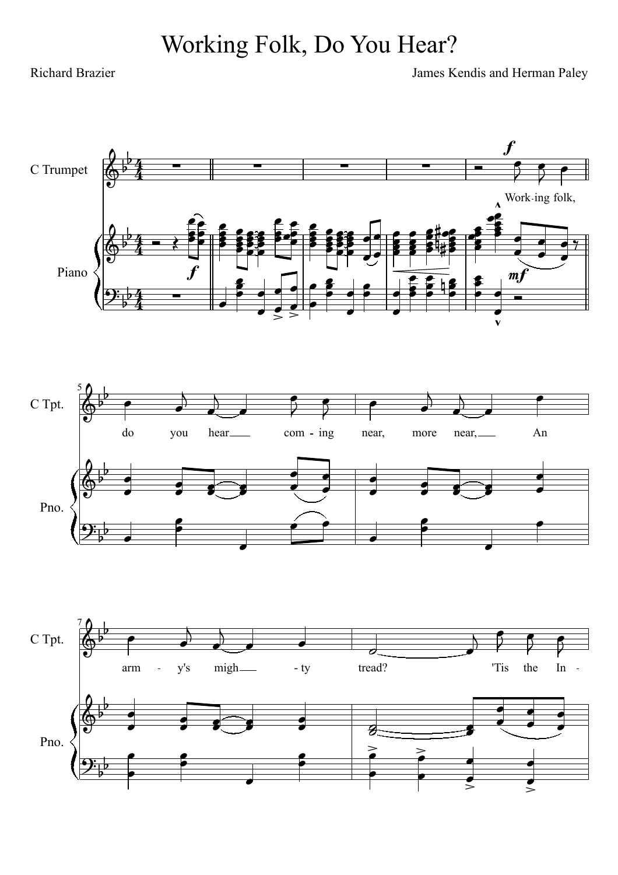## Working Folk, Do You Hear?

Richard Brazier James Kendis and Herman Paley

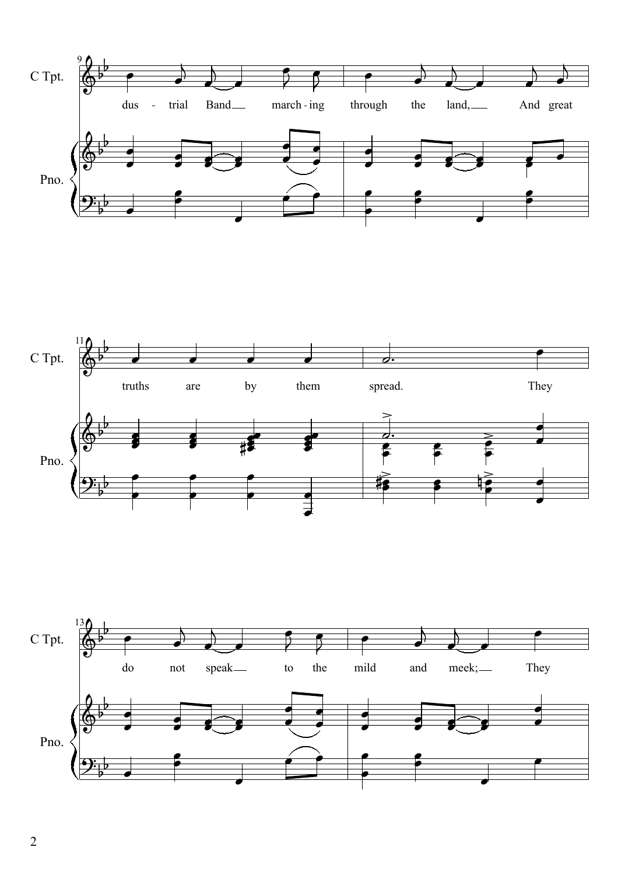



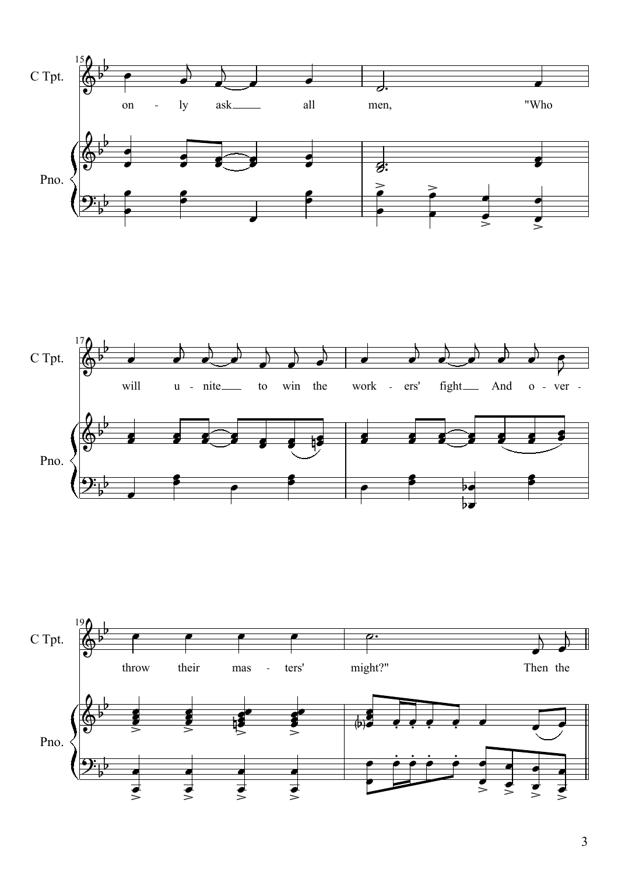



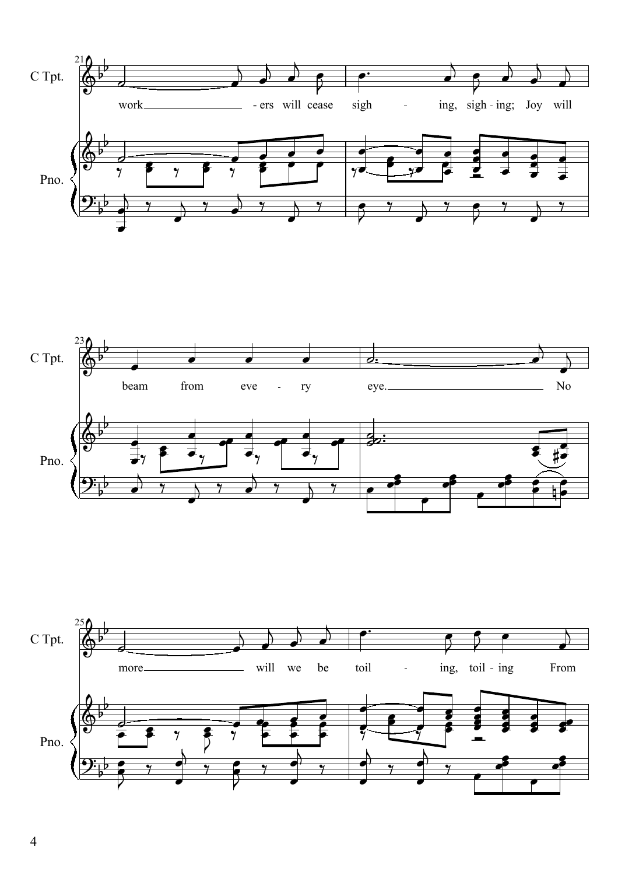



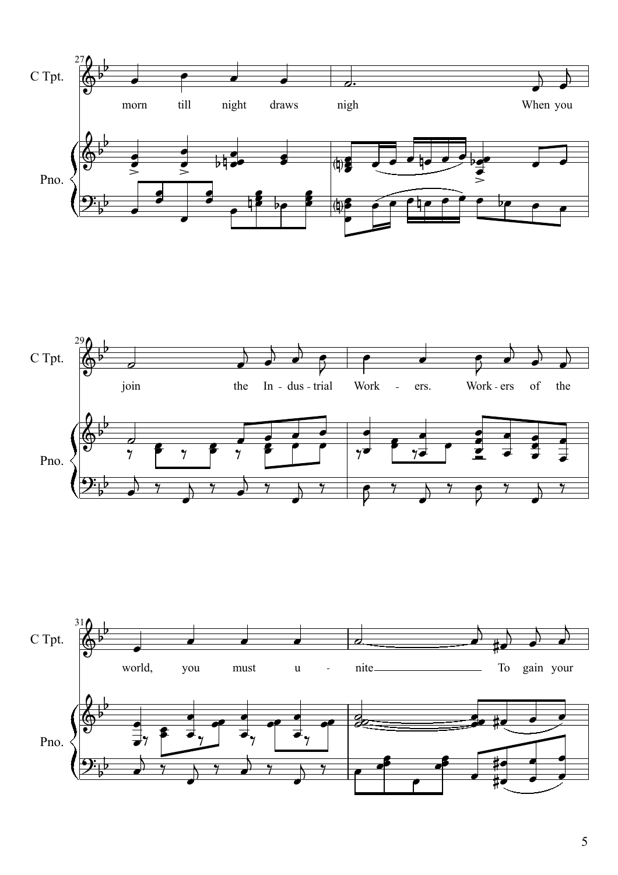



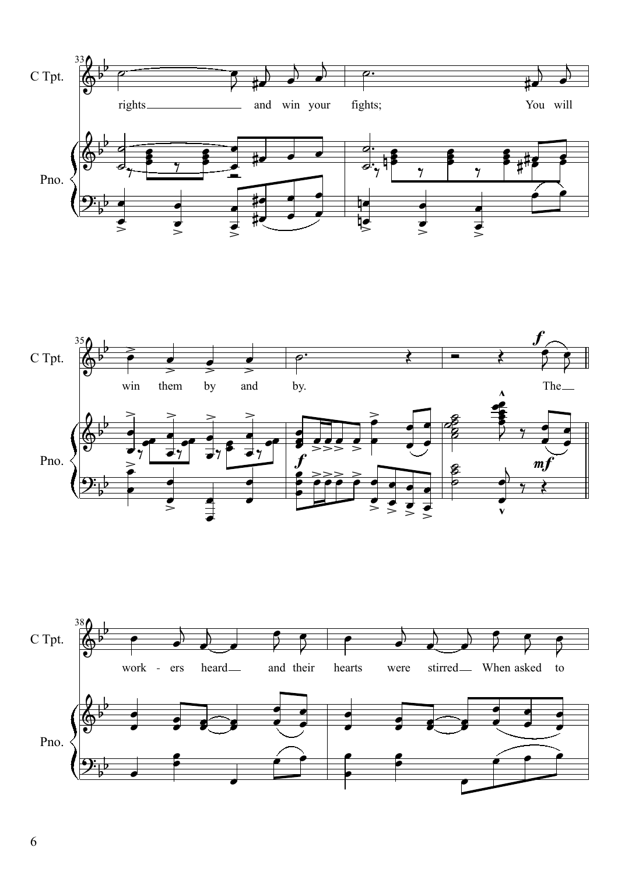



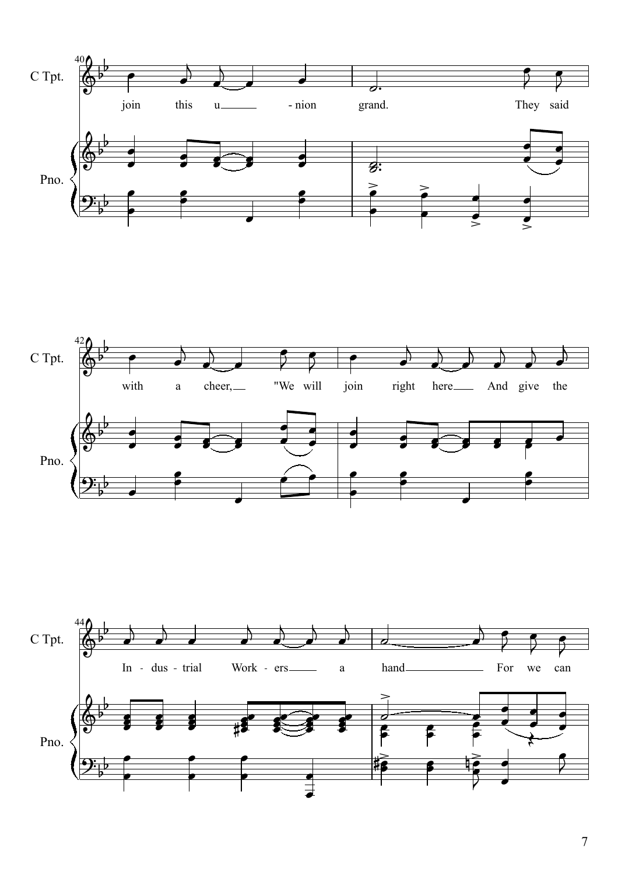



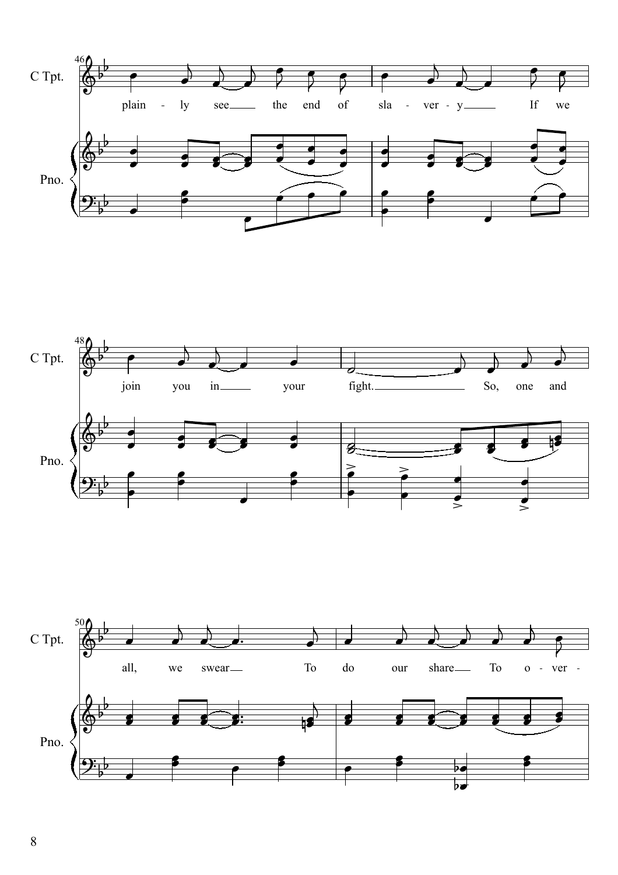



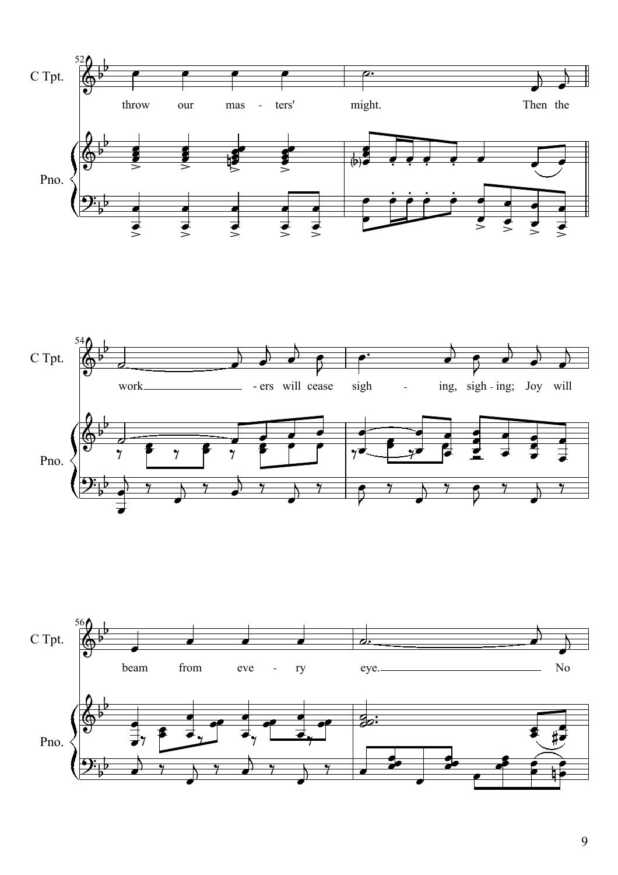



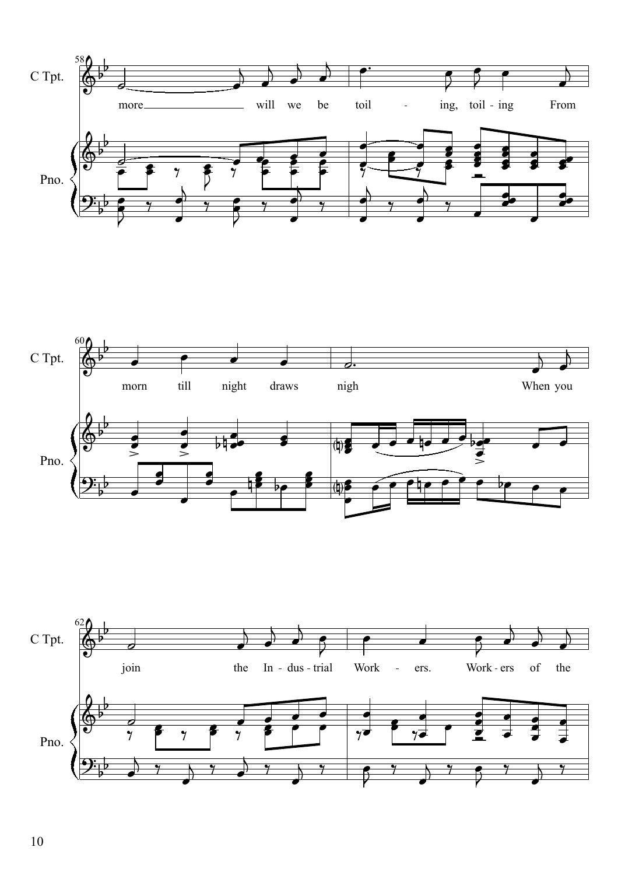